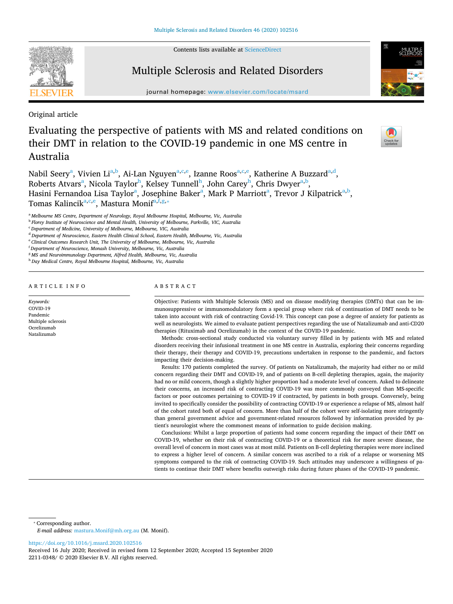Contents lists available at [ScienceDirect](http://www.sciencedirect.com/science/journal/22110348)



# Multiple Sclerosis and Related Disorders

journal homepage: [www.elsevier.com/locate/msard](https://www.elsevier.com/locate/msard)

Original article

Evaluating the perspective of patients with MS and related conditions on their DMT in relation to the COVID-19 pandemic in one MS centre in Australia

N[a](#page-0-0)bil Seery<sup>a</sup>, Vivien Li<sup>a[,b](#page-0-1)</sup>, Ai-Lan Nguyen<sup>a[,c](#page-0-2)[,e](#page-0-3)</sup>, Izanne Roos<sup>[a,](#page-0-0)[c,](#page-0-2)[e](#page-0-3)</sup>, Katherine A Buzzar[d](#page-0-4)<sup>a,d</sup>, Roberts Atv[a](#page-0-0)rs<sup>a</sup>, Nicola Taylor<sup>[h](#page-0-5)</sup>, Kelsey Tunnell<sup>h</sup>, John Carey<sup>h</sup>, Chris Dwyer<sup>a[,b](#page-0-1)</sup>, H[a](#page-0-0)sini Fernandoa Lisa Taylor<sup>a</sup>, Josephine Baker<sup>a</sup>, Mark P Marriott<sup>a</sup>, Trevor J Kilpatrick<sup>a[,b](#page-0-1)</sup>, Tom[a](#page-0-0)s Kalincik<sup>a[,c,](#page-0-2)[e](#page-0-3)</sup>, Mastura Monif<sup>[a,](#page-0-0)[f](#page-0-6),[g,](#page-0-7)\*</sup>

<span id="page-0-2"></span><sup>c</sup> *Department of Medicine, University of Melbourne, Melbourne, VIC, Australia*

<span id="page-0-4"></span><sup>d</sup> *Department of Neuroscience, Eastern Health Clinical School, Eastern Health, Melbourne, Vic, Australia*

<span id="page-0-3"></span><sup>e</sup> *Clinical Outcomes Research Unit, The University of Melbourne, Melbourne, Vic, Australia*

<span id="page-0-6"></span>f *Department of Neuroscience, Monash University, Melbourne, Vic, Australia*

<span id="page-0-7"></span><sup>g</sup> *MS and Neuroimmunology Department, Alfred Health, Melbourne, Vic, Australia*

ARTICLE INFO

*Keywords:* COVID-19 Pandemic Multiple sclerosis Ocrelizumab Natalizumab

## ABSTRACT

Objective: Patients with Multiple Sclerosis (MS) and on disease modifying therapies (DMTs) that can be immunosuppressive or immunomodulatory form a special group where risk of continuation of DMT needs to be taken into account with risk of contracting Covid-19. This concept can pose a degree of anxiety for patients as well as neurologists. We aimed to evaluate patient perspectives regarding the use of Natalizumab and anti-CD20 therapies (Rituximab and Ocrelizumab) in the context of the COVID-19 pandemic.

Methods: cross-sectional study conducted via voluntary survey filled in by patients with MS and related disorders receiving their infusional treatment in one MS centre in Australia, exploring their concerns regarding their therapy, their therapy and COVID-19, precautions undertaken in response to the pandemic, and factors impacting their decision-making.

Results: 170 patients completed the survey. Of patients on Natalizumab, the majority had either no or mild concern regarding their DMT and COVID-19, and of patients on B-cell depleting therapies, again, the majority had no or mild concern, though a slightly higher proportion had a moderate level of concern. Asked to delineate their concerns, an increased risk of contracting COVID-19 was more commonly conveyed than MS-specific factors or poor outcomes pertaining to COVID-19 if contracted, by patients in both groups. Conversely, being invited to specifically consider the possibility of contracting COVID-19 or experience a relapse of MS, almost half of the cohort rated both of equal of concern. More than half of the cohort were self-isolating more stringently than general government advice and government-related resources followed by information provided by patient's neurologist where the commonest means of information to guide decision making.

Conclusions: Whilst a large proportion of patients had some concern regarding the impact of their DMT on COVID-19, whether on their risk of contracting COVID-19 or a theoretical risk for more severe disease, the overall level of concern in most cases was at most mild. Patients on B-cell depleting therapies were more inclined to express a higher level of concern. A similar concern was ascribed to a risk of a relapse or worsening MS symptoms compared to the risk of contracting COVID-19. Such attitudes may underscore a willingness of patients to continue their DMT where benefits outweigh risks during future phases of the COVID-19 pandemic.

<span id="page-0-8"></span>⁎ Corresponding author.

*E-mail address:* [mastura.Monif@mh.org.au](mailto:mastura.Monif@mh.org.au) (M. Monif).

<https://doi.org/10.1016/j.msard.2020.102516>

Received 16 July 2020; Received in revised form 12 September 2020; Accepted 15 September 2020 2211-0348/ © 2020 Elsevier B.V. All rights reserved.



 $\frac{N}{2}$ 

<span id="page-0-0"></span><sup>a</sup> *Melbourne MS Centre, Department of Neurology, Royal Melbourne Hospital, Melbourne, Vic, Australia*

<span id="page-0-1"></span><sup>b</sup> *Florey Institute of Neuroscience and Mental Health, University of Melbourne, Parkville, VIC, Australia*

<span id="page-0-5"></span><sup>h</sup> *Day Medical Centre, Royal Melbourne Hospital, Melbourne, Vic, Australia*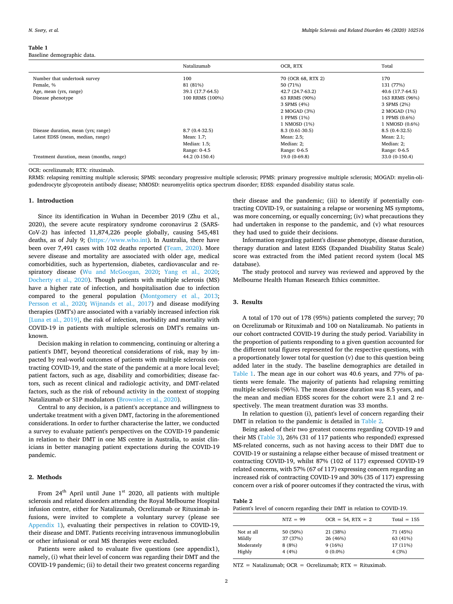#### <span id="page-1-0"></span>**Table 1**

Baseline demographic data.

|                                          | Natalizumab      | OCR, RTX           | Total            |
|------------------------------------------|------------------|--------------------|------------------|
| Number that undertook survey             | 100              | 70 (OCR 68, RTX 2) | 170              |
| Female, %                                | 81 (81%)         | 50 (71%)           | 131 (77%)        |
| Age, mean (yrs, range)                   | 39.1 (17.7-64.5) | 42.7 (24.7-63.2)   | 40.6 (17.7-64.5) |
| Disease phenotype                        | 100 RRMS (100%)  | 63 RRMS (90%)      | 163 RRMS (96%)   |
|                                          |                  | 3 SPMS (4%)        | 3 SPMS (2%)      |
|                                          |                  | 2 MOGAD (3%)       | 2 MOGAD (1%)     |
|                                          |                  | 1 PPMS (1%)        | 1 PPMS (0.6%)    |
|                                          |                  | 1 NMOSD (1%)       | 1 NMOSD (0.6%)   |
| Disease duration, mean (yrs; range)      | $8.7(0.4-32.5)$  | $8.3(0.61-30.5)$   | $8.5(0.4-32.5)$  |
| Latest EDSS (mean, median, range)        | Mean: 1.7;       | Mean: 2.5;         | Mean: $2.1$ ;    |
|                                          | Median: 1.5;     | Median: 2;         | Median: 2;       |
|                                          | Range: 0-4.5     | Range: 0-6.5       | Range: 0-6.5     |
| Treatment duration, mean (months, range) | 44.2 (0-150.4)   | 19.0 (0-69.8)      | 33.0 (0-150.4)   |

OCR: ocrelizumab; RTX: rituximab.

RRMS: relapsing remitting multiple sclerosis; SPMS: secondary progressive multiple sclerosis; PPMS: primary progressive multiple sclerosis; MOGAD: myelin-oligodendrocyte glycoprotein antibody disease; NMOSD: neuromyelitis optica spectrum disorder; EDSS: expanded disability status scale.

## **1. Introduction**

Since its identification in Wuhan in December 2019 (Zhu et al., 2020), the severe acute respiratory syndrome coronavirus 2 (SARS-CoV-2) has infected 11,874,226 people globally, causing 545,481 deaths, as of July 9; [\(https://www.who.int\)](https://www.who.int). In Australia, there have been over 7,491 cases with 102 deaths reported ([Team, 2020\)](#page-4-0). More severe disease and mortality are associated with older age, medical comorbidities, such as hypertension, diabetes, cardiovascular and respiratory disease ([Wu and McGoogan, 2020](#page-4-1); [Yang et al., 2020](#page-4-2); [Docherty et al., 2020\)](#page-4-3). Though patients with multiple sclerosis (MS) have a higher rate of infection, and hospitalisation due to infection compared to the general population ([Montgomery et al., 2013](#page-4-4); [Persson et al., 2020](#page-4-5); [Wijnands et al., 2017](#page-4-6)) and disease modifying therapies (DMT's) are associated with a variably increased infection risk [\[Luna et al., 2019\],](#page-4-7) the risk of infection, morbidity and mortality with COVID-19 in patients with multiple sclerosis on DMT's remains unknown.

Decision making in relation to commencing, continuing or altering a patient's DMT, beyond theoretical considerations of risk, may by impacted by real-world outcomes of patients with multiple sclerosis contracting COVID-19, and the state of the pandemic at a more local level; patient factors, such as age, disability and comorbidities; disease factors, such as recent clinical and radiologic activity, and DMT-related factors, such as the risk of rebound activity in the context of stopping Natalizumab or S1P modulators ([Brownlee et al., 2020](#page-4-8)).

Central to any decision, is a patient's acceptance and willingness to undertake treatment with a given DMT, factoring in the aforementioned considerations. In order to further characterise the latter, we conducted a survey to evaluate patient's perspectives on the COVID-19 pandemic in relation to their DMT in one MS centre in Australia, to assist clinicians in better managing patient expectations during the COVID-19 pandemic.

## **2. Methods**

From  $24<sup>th</sup>$  April until June  $1<sup>st</sup>$  2020, all patients with multiple sclerosis and related disorders attending the Royal Melbourne Hospital infusion centre, either for Natalizumab, Ocrelizumab or Rituximab infusions, were invited to complete a voluntary survey (please see [Appendix 1\)](#page-4-9), evaluating their perspectives in relation to COVID-19, their disease and DMT. Patients receiving intravenous immunoglobulin or other infusional or oral MS therapies were excluded.

Patients were asked to evaluate five questions (see appendix1), namely, (i) what their level of concern was regarding their DMT and the COVID-19 pandemic; (ii) to detail their two greatest concerns regarding

their disease and the pandemic; (iii) to identify if potentially contracting COVID-19, or sustaining a relapse or worsening MS symptoms, was more concerning, or equally concerning; (iv) what precautions they had undertaken in response to the pandemic, and (v) what resources they had used to guide their decisions.

Information regarding patient's disease phenotype, disease duration, therapy duration and latest EDSS (Expanded Disability Status Scale) score was extracted from the iMed patient record system (local MS database).

The study protocol and survey was reviewed and approved by the Melbourne Health Human Research Ethics committee.

## **3. Results**

A total of 170 out of 178 (95%) patients completed the survey; 70 on Ocrelizumab or Rituximab and 100 on Natalizumab. No patients in our cohort contracted COVID-19 during the study period. Variability in the proportion of patients responding to a given question accounted for the different total figures represented for the respective questions, with a proportionately lower total for question (v) due to this question being added later in the study. The baseline demographics are detailed in [Table 1.](#page-1-0) The mean age in our cohort was 40.6 years, and 77% of patients were female. The majority of patients had relapsing remitting multiple sclerosis (96%). The mean disease duration was 8.5 years, and the mean and median EDSS scores for the cohort were 2.1 and 2 respectively. The mean treatment duration was 33 months.

In relation to question (i), patient's level of concern regarding their DMT in relation to the pandemic is detailed in [Table 2](#page-1-1).

Being asked of their two greatest concerns regarding COVID-19 and their MS [\(Table 3\)](#page-2-0), 26% (31 of 117 patients who responded) expressed MS-related concerns, such as not having access to their DMT due to COVID-19 or sustaining a relapse either because of missed treatment or contracting COVID-19, whilst 87% (102 of 117) expressed COVID-19 related concerns, with 57% (67 of 117) expressing concern regarding an increased risk of contracting COVID-19 and 30% (35 of 117) expressing concern over a risk of poorer outcomes if they contracted the virus, with

## <span id="page-1-1"></span>**Table 2**

Patient's level of concern regarding their DMT in relation to COVID-19.

|                      | $NTZ = 99$        | $OCR = 54$ , $RTX = 2$ | $Total = 155$        |
|----------------------|-------------------|------------------------|----------------------|
| Not at all           | 50 (50%)          | 21 (38%)               | 71 (45%)             |
| Mildly<br>Moderately | 37 (37%)<br>8(8%) | 26 (46%)<br>9(16%)     | 63 (41%)<br>17 (11%) |
| Highly               | 4(4%)             | $0(0.0\%)$             | 4(3%)                |

NTZ = Natalizumab; OCR = Ocrelizumab; RTX = Rituximab.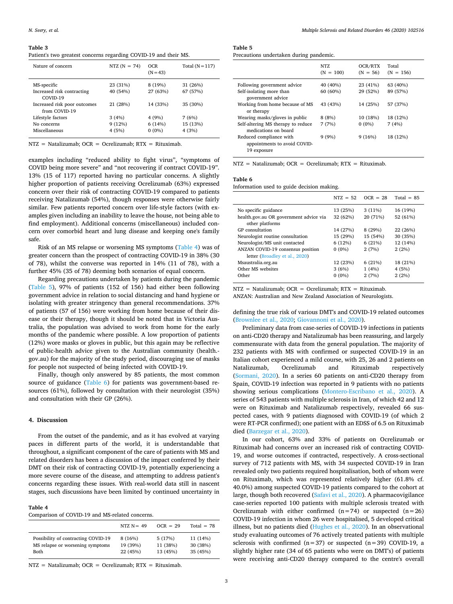#### <span id="page-2-0"></span>**Table 3**

Patient's two greatest concerns regarding COVID-19 and their MS.

| Nature of concern                             | NTZ $(N = 74)$ | <b>OCR</b><br>$(N = 43)$ | Total $(N=117)$ |
|-----------------------------------------------|----------------|--------------------------|-----------------|
| MS-specific                                   | 23 (31%)       | 8 (19%)                  | 31 (26%)        |
| Increased risk contracting<br>COVID-19        | 40 (54%)       | 27 (63%)                 | 67 (57%)        |
| Increased risk poor outcomes<br>from COVID-19 | 21 (28%)       | 14 (33%)                 | 35 (30%)        |
| Lifestyle factors                             | 3(4%)          | 4(9%)                    | 7(6%)           |
| No concerns                                   | 9(12%)         | 6(14%)                   | 15 (13%)        |
| Miscellaneous                                 | 4(5%)          | $0(0\%)$                 | 4(3%)           |

NTZ = Natalizumab; OCR = Ocrelizumab; RTX = Rituximab.

examples including "reduced ability to fight virus", "symptoms of COVID being more severe" and "not recovering if contract COVID-19". 13% (15 of 117) reported having no particular concerns. A slightly higher proportion of patients receiving Ocrelizumab (63%) expressed concern over their risk of contracting COVID-19 compared to patients receiving Natalizumab (54%), though responses were otherwise fairly similar. Few patients reported concern over life-style factors (with examples given including an inability to leave the house, not being able to find employment). Additional concerns (miscellaneous) included concern over comorbid heart and lung disease and keeping one's family safe.

Risk of an MS relapse or worsening MS symptoms ([Table 4](#page-2-1)) was of greater concern than the prospect of contracting COVID-19 in 38% (30 of 78), whilst the converse was reported in 14% (11 of 78), with a further 45% (35 of 78) deeming both scenarios of equal concern.

Regarding precautions undertaken by patients during the pandemic ([Table 5\)](#page-2-2), 97% of patients (152 of 156) had either been following government advice in relation to social distancing and hand hygiene or isolating with greater stringency than general recommendations. 37% of patients (57 of 156) were working from home because of their disease or their therapy, though it should be noted that in Victoria Australia, the population was advised to work from home for the early months of the pandemic where possible. A low proportion of patients (12%) wore masks or gloves in public, but this again may be reflective of public-health advice given to the Australian community (health. gov.au) for the majority of the study period, discouraging use of masks for people not suspected of being infected with COVID-19.

Finally, though only answered by 85 patients, the most common source of guidance [\(Table 6](#page-2-3)) for patients was government-based resources (61%), followed by consultation with their neurologist (35%) and consultation with their GP (26%).

#### **4. Discussion**

From the outset of the pandemic, and as it has evolved at varying paces in different parts of the world, it is understandable that throughout, a significant component of the care of patients with MS and related disorders has been a discussion of the impact conferred by their DMT on their risk of contracting COVID-19, potentially experiencing a more severe course of the disease, and attempting to address patient's concerns regarding these issues. With real-world data still in nascent stages, such discussions have been limited by continued uncertainty in

#### <span id="page-2-1"></span>**Table 4**

Comparison of COVID-19 and MS-related concerns.

|                                     | NTZ $N = 49$ | $OCR = 29$ | Total $= 78$ |
|-------------------------------------|--------------|------------|--------------|
| Possibility of contracting COVID-19 | 8(16%)       | 5(17%)     | 11 (14%)     |
| MS relapse or worsening symptoms    | 19 (39%)     | 11 (38%)   | 30 (38%)     |
| Both                                | 22 (45%)     | 13 (45%)   | 35 (45%)     |

NTZ = Natalizumab; OCR = Ocrelizumab; RTX = Rituximab.

# <span id="page-2-2"></span>**Table 5**

| Precautions undertaken during pandemic. |  |  |
|-----------------------------------------|--|--|
|                                         |  |  |

|                                                                              | NTZ.<br>$(N = 100)$  | OCR/RTX<br>$(N = 56)$ | Total<br>$(N = 156)$ |
|------------------------------------------------------------------------------|----------------------|-----------------------|----------------------|
| Following government advice<br>Self-isolating more than<br>government advice | 40 (40%)<br>60 (60%) | 23 (41%)<br>29 (52%)  | 63 (40%)<br>89 (57%) |
| Working from home because of MS<br>or therapy                                | 43 (43%)             | 14 (25%)              | 57 (37%)             |
| Wearing masks/gloves in public                                               | 8(8%)                | 10 (18%)              | 18 (12%)             |
| Self-altering MS therapy to reduce<br>medications on board                   | 7(7%)                | $0(0\%)$              | 7(4%)                |
| Reduced compliance with<br>appointments to avoid COVID-<br>19 exposure       | 9(9%)                | 9(16%)                | 18 (12%)             |

NTZ = Natalizumab; OCR = Ocrelizumab; RTX = Rituximab.

## <span id="page-2-3"></span>**Table 6**

Information used to guide decision making.

|                                                           | $NTZ = 52$ | $OCR = 28$ | Total $= 85$ |
|-----------------------------------------------------------|------------|------------|--------------|
| No specific guidance                                      | 13 (25%)   | 3(11%)     | 16 (19%)     |
| health.gov.au OR government advice via<br>other platforms | 32 (62%)   | 20 (71%)   | 52 (61%)     |
| GP consultation                                           | 14 (27%)   | 8(29%)     | 22 (26%)     |
| Neurologist routine consultation                          | 15 (29%)   | 15 (54%)   | 30 (35%)     |
| Neurologist/MS unit contacted                             | 6(12%)     | 6(21%)     | 12 (14%)     |
| ANZAN COVID-19 consensus position                         | $0(0\%)$   | 2(7%)      | 2(2%)        |
| letter (Broadley et al., 2020)                            |            |            |              |
| Msaustralia.org.au                                        | 12 (23%)   | 6(21%)     | 18 (21%)     |
| Other MS websites                                         | 3(6%)      | 1(4%)      | 4(5%)        |
| Other                                                     | $0(0\%)$   | 2(7%)      | 2(2%)        |

 $NTZ = Natalizumab$ ;  $OCR = Ocrelizumab$ ;  $RTX = Rituximab$ . ANZAN: Australian and New Zealand Association of Neurologists.

defining the true risk of various DMT's and COVID-19 related outcomes ([Brownlee et al., 2020](#page-4-8); [Giovannoni et al., 2020](#page-4-10)).

Preliminary data from case-series of COVID-19 infections in patients on anti-CD20 therapy and Natalizumab has been reassuring, and largely commensurate with data from the general population. The majority of 232 patients with MS with confirmed or suspected COVID-19 in an Italian cohort experienced a mild course, with 25, 26 and 2 patients on Natalizumab, Ocrelizumab and Rituximab respectively ([Sormani, 2020\)](#page-4-11). In a series 60 patients on anti-CD20 therapy from Spain, COVID-19 infection was reported in 9 patients with no patients showing serious complications [\(Montero-Escribano et al., 2020](#page-4-12)). A series of 543 patients with multiple sclerosis in Iran, of which 42 and 12 were on Rituximab and Natalizumab respectively, revealed 66 suspected cases, with 9 patients diagnosed with COVID-19 (of which 2 were RT-PCR confirmed); one patient with an EDSS of 6.5 on Rituximab died ([Barzegar et al., 2020\)](#page-4-13).

In our cohort, 63% and 33% of patients on Ocrelizumab or Rituximab had concerns over an increased risk of contracting COVID-19, and worse outcomes if contracted, respectively. A cross-sectional survey of 712 patients with MS, with 34 suspected COVID-19 in Iran revealed only two patients required hospitalisation, both of whom were on Rituximab, which was represented relatively higher (61.8% cf. 40.0%) among suspected COVID-19 patients compared to the cohort at large, though both recovered [\(Safavi et al., 2020](#page-4-14)). A pharmacovigilance case-series reported 100 patients with multiple sclerosis treated with Ocrelizumab with either confirmed  $(n=74)$  or suspected  $(n=26)$ COVID-19 infection in whom 26 were hospitalised, 5 developed critical illness, but no patients died [\(Hughes et al., 2020\)](#page-4-15). In an observational study evaluating outcomes of 76 actively treated patients with multiple sclerosis with confirmed  $(n=37)$  or suspected  $(n=39)$  COVID-19, a slightly higher rate (34 of 65 patients who were on DMT's) of patients were receiving anti-CD20 therapy compared to the centre's overall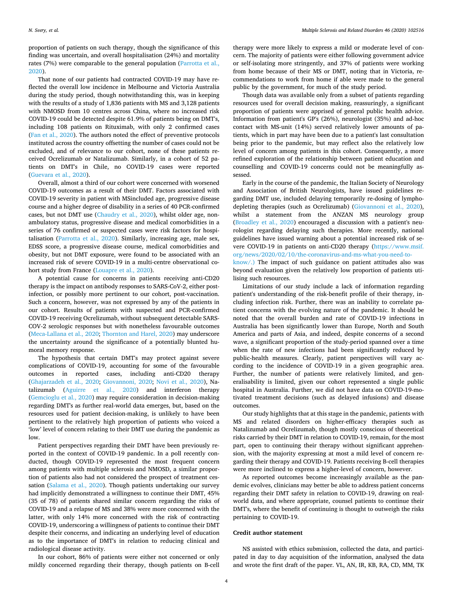proportion of patients on such therapy, though the significance of this finding was uncertain, and overall hospitalisation (24%) and mortality rates (7%) were comparable to the general population [\(Parrotta et al.,](#page-4-17) [2020\)](#page-4-17).

That none of our patients had contracted COVID-19 may have reflected the overall low incidence in Melbourne and Victoria Australia during the study period, though notwithstanding this, was in keeping with the results of a study of 1,836 patients with MS and 3,128 patients with NMOSD from 10 centres across China, where no increased risk COVID-19 could be detected despite 61.9% of patients being on DMT's, including 108 patients on Rituximab, with only 2 confirmed cases ([Fan et al., 2020](#page-4-18)). The authors noted the effect of preventive protocols instituted across the country offsetting the number of cases could not be excluded, and of relevance to our cohort, none of these patients received Ocrelizumab or Natalizumab. Similarly, in a cohort of 52 patients on DMT's in Chile, no COVID-19 cases were reported ([Guevara et al., 2020](#page-4-19)).

Overall, almost a third of our cohort were concerned with worsened COVID-19 outcomes as a result of their DMT. Factors associated with COVID-19 severity in patient with MSincluded age, progressive disease course and a higher degree of disability in a series of 40 PCR-confirmed cases, but not DMT use ([Chaudry et al., 2020\)](#page-4-20), whilst older age, nonambulatory status, progressive disease and medical comorbidities in a series of 76 confirmed or suspected cases were risk factors for hospitalisation ([Parrotta et al., 2020](#page-4-17)). Similarly, increasing age, male sex, EDSS score, a progressive disease course, medical comorbidities and obesity, but not DMT exposure, were found to be associated with an increased risk of severe COVID-19 in a multi-centre observational cohort study from France ([Louapre et al., 2020\)](#page-4-21).

A potential cause for concerns in patients receiving anti-CD20 therapy is the impact on antibody responses to SARS-CoV-2, either postinfection, or possibly more pertinent to our cohort, post-vaccination. Such a concern, however, was not expressed by any of the patients in our cohort. Results of patients with suspected and PCR-confirmed COVID-19 receiving Ocrelizumab, without subsequent detectable SARS-COV-2 serologic responses but with nonetheless favourable outcomes ([Meca-Lallana et al., 2020;](#page-4-22) [Thornton and Harel, 2020](#page-4-23)) may underscore the uncertainty around the significance of a potentially blunted humoral memory response.

The hypothesis that certain DMT's may protect against severe complications of COVID-19, accounting for some of the favourable outcomes in reported cases, including anti-CD20 therapy ([Ghajarzadeh et al., 2020](#page-4-24); [Giovannoni, 2020](#page-4-25); [Novi et al., 2020\)](#page-4-26), Natalizumab ([Aguirre et al., 2020](#page-4-27)) and interferon therapy ([Gemcioglu et al., 2020\)](#page-4-28) may require consideration in decision-making regarding DMT's as further real-world data emerges, but, based on the resources used for patient decision-making, is unlikely to have been pertinent to the relatively high proportion of patients who voiced a 'low' level of concern relating to their DMT use during the pandemic as low.

Patient perspectives regarding their DMT have been previously reported in the context of COVID-19 pandemic. In a poll recently conducted, though COVID-19 represented the most frequent concern among patients with multiple sclerosis and NMOSD, a similar proportion of patients also had not considered the prospect of treatment cessation ([Salama et al., 2020](#page-4-29)). Though patients undertaking our survey had implicitly demonstrated a willingness to continue their DMT, 45% (35 of 78) of patients shared similar concern regarding the risks of COVID-19 and a relapse of MS and 38% were more concerned with the latter, with only 14% more concerned with the risk of contracting COVID-19, underscoring a willingness of patients to continue their DMT despite their concerns, and indicating an underlying level of education as to the importance of DMT's in relation to reducing clinical and radiological disease activity.

In our cohort, 86% of patients were either not concerned or only mildly concerned regarding their therapy, though patients on B-cell

therapy were more likely to express a mild or moderate level of concern. The majority of patients were either following government advice or self-isolating more stringently, and 37% of patients were working from home because of their MS or DMT, noting that in Victoria, recommendations to work from home if able were made to the general public by the government, for much of the study period.

Though data was available only from a subset of patients regarding resources used for overall decision making, reassuringly, a significant proportion of patients were apprised of general public health advice. Information from patient's GP's (26%), neurologist (35%) and ad-hoc contact with MS-unit (14%) served relatively lower amounts of patients, which in part may have been due to a patient's last consultation being prior to the pandemic, but may reflect also the relatively low level of concern among patients in this cohort. Consequently, a more refined exploration of the relationship between patient education and counselling and COVID-19 concerns could not be meaningfully assessed.

Early in the course of the pandemic, the Italian Society of Neurology and Association of British Neurologists, have issued guidelines regarding DMT use, included delaying temporarily re-dosing of lymphodepleting therapies (such as Ocrelizumab) ([Giovannoni et al., 2020](#page-4-10)), whilst a statement from the ANZAN MS neurology group ([Broadley et al., 2020](#page-4-16)) encouraged a discussion with a patient's neurologist regarding delaying such therapies. More recently, national guidelines have issued warning about a potential increased risk of severe COVID-19 in patients on anti-CD20 therapy ([https://www.msif.](https://www.msif.org/news/2020/02/10/the-coronavirus-and-ms-what-you-need-to-know/.)) [org/news/2020/02/10/the-coronavirus-and-ms-what-you-need-to-](https://www.msif.org/news/2020/02/10/the-coronavirus-and-ms-what-you-need-to-know/.))

[know/.\)](https://www.msif.org/news/2020/02/10/the-coronavirus-and-ms-what-you-need-to-know/.)) The impact of such guidance on patient attitudes also was beyond evaluation given the relatively low proportion of patients utilising such resources.

Limitations of our study include a lack of information regarding patient's understanding of the risk-benefit profile of their therapy, including infection risk. Further, there was an inability to correlate patient concerns with the evolving nature of the pandemic. It should be noted that the overall burden and rate of COVID-19 infections in Australia has been significantly lower than Europe, North and South America and parts of Asia, and indeed, despite concerns of a second wave, a significant proportion of the study-period spanned over a time when the rate of new infections had been significantly reduced by public-health measures. Clearly, patient perspectives will vary according to the incidence of COVID-19 in a given geographic area. Further, the number of patients were relatively limited, and generalisability is limited, given our cohort represented a single public hospital in Australia. Further, we did not have data on COVID-19-motivated treatment decisions (such as delayed infusions) and disease outcomes.

Our study highlights that at this stage in the pandemic, patients with MS and related disorders on higher-efficacy therapies such as Natalizumab and Ocrelizumab, though mostly conscious of theoretical risks carried by their DMT in relation to COVID-19, remain, for the most part, open to continuing their therapy without significant apprehension, with the majority expressing at most a mild level of concern regarding their therapy and COVID-19. Patients receiving B-cell therapies were more inclined to express a higher-level of concern, however.

As reported outcomes become increasingly available as the pandemic evolves, clinicians may better be able to address patient concerns regarding their DMT safety in relation to COVID-19, drawing on realworld data, and where appropriate, counsel patients to continue their DMT's, where the benefit of continuing is thought to outweigh the risks pertaining to COVID-19.

#### **Credit author statement**

NS assisted with ethics submission, collected the data, and participated in day to day acquisition of the information, analysed the data and wrote the first draft of the paper. VL, AN, IR, KB, RA, CD, MM, TK